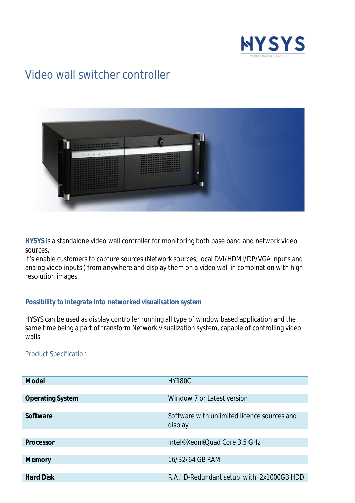

## Video wall switcher controller



**HYSYS** is a standalone video wall controller for monitoring both base band and network video sources.

It's enable customers to capture sources (Network sources, local DVI/HDMI/DP/VGA inputs and analog video inputs ) from anywhere and display them on a video wall in combination with high resolution images.

## **Possibility to integrate into networked visualisation system**

HYSYS can be used as display controller running all type of window based application and the same time being a part of transform Network visualization system, capable of controlling video walls

## Product Specification

| <b>Model</b>            | <b>HY180C</b>                                          |
|-------------------------|--------------------------------------------------------|
|                         |                                                        |
| <b>Operating System</b> | Window 7 or Latest version                             |
|                         |                                                        |
| <b>Software</b>         | Software with unlimited licence sources and<br>display |
|                         |                                                        |
| <b>Processor</b>        | Intel <sup>®</sup> Xeon <sup>®</sup> Quad Core 3.5 GHz |
|                         |                                                        |
| <b>Memory</b>           | 16/32/64 GB RAM                                        |
|                         |                                                        |
| <b>Hard Disk</b>        | R.A.I.D-Redundant setup with 2x1000GB HDD              |